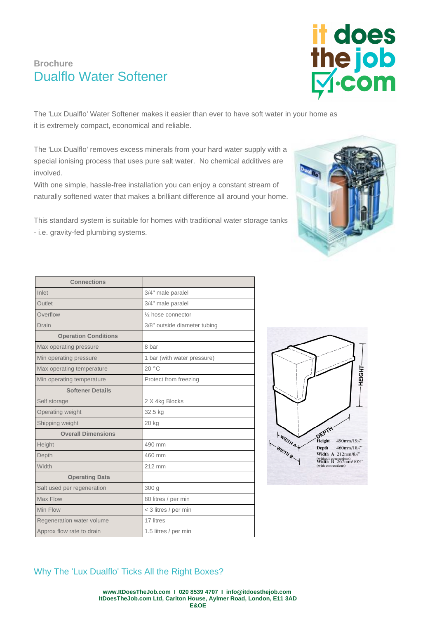## **Brochure** Dualflo Water Softener

The 'Lux Dualflo' Water Softener makes it easier than ever to have soft water in your home as it is extremely compact, economical and reliable.

The 'Lux Dualflo' removes excess minerals from your hard water supply with a special ionising process that uses pure salt water. No chemical additives are involved.

With one simple, hassle-free installation you can enjoy a constant stream of naturally softened water that makes a brilliant difference all around your home.

This standard system is suitable for homes with traditional water storage tanks - i.e. gravity-fed plumbing systems.

| <b>Connections</b>          |                              |
|-----------------------------|------------------------------|
| Inlet                       | 3/4" male paralel            |
| Outlet                      | 3/4" male paralel            |
| Overflow                    | 1/2 hose connector           |
| Drain                       | 3/8" outside diameter tubing |
| <b>Operation Conditions</b> |                              |
| Max operating pressure      | 8 har                        |
| Min operating pressure      | 1 bar (with water pressure)  |
| Max operating temperature   | 20 °C                        |
| Min operating temperature   | Protect from freezing        |
| <b>Softener Details</b>     |                              |
| Self storage                | 2 X 4kg Blocks               |
| Operating weight            | 32.5 kg                      |
| Shipping weight             | 20 kg                        |
| <b>Overall Dimensions</b>   |                              |
| Height                      | 490 mm                       |
| Depth                       | 460 mm                       |
| Width                       | 212 mm                       |
| <b>Operating Data</b>       |                              |
| Salt used per regeneration  | 300 g                        |
| Max Flow                    | 80 litres / per min          |
| Min Flow                    | < 3 litres / per min         |
| Regeneration water volume   | 17 litres                    |
| Approx flow rate to drain   | 1.5 litres / per min         |







Why The 'Lux Dualflo' Ticks All the Right Boxes?